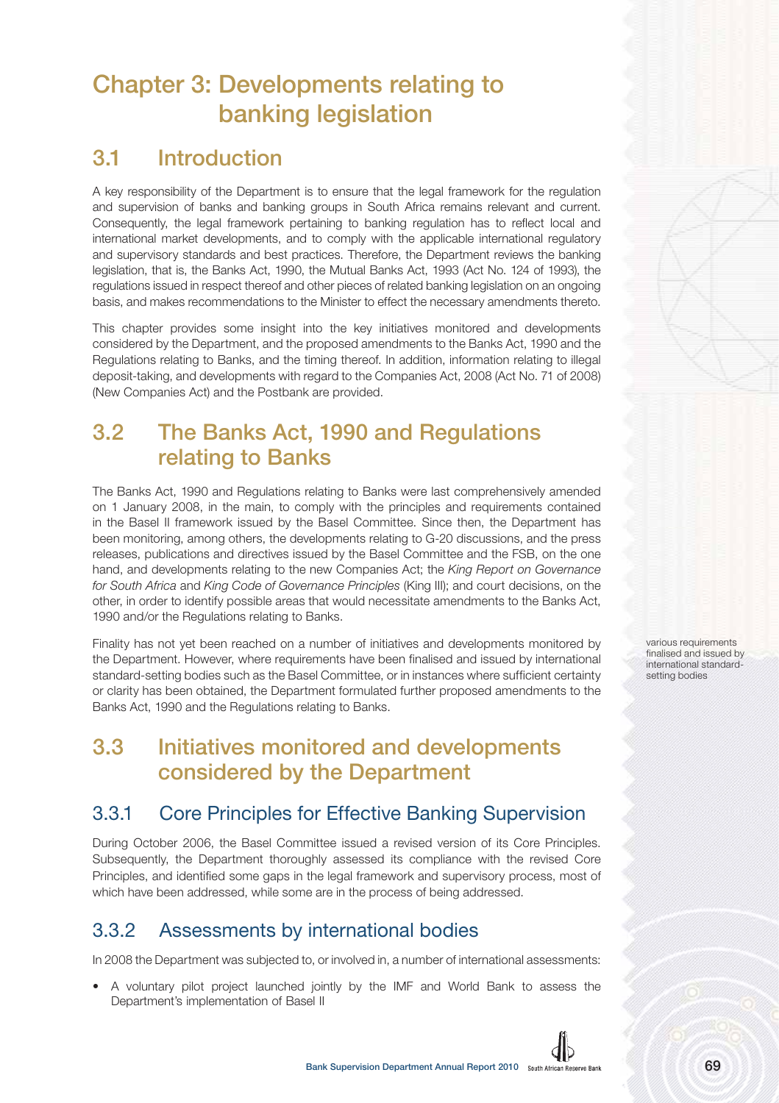# **Chapter 3: Developments relating to banking legislation**

# **3.1 Introduction**

A key responsibility of the Department is to ensure that the legal framework for the regulation and supervision of banks and banking groups in South Africa remains relevant and current. Consequently, the legal framework pertaining to banking regulation has to reflect local and international market developments, and to comply with the applicable international regulatory and supervisory standards and best practices. Therefore, the Department reviews the banking legislation, that is, the Banks Act, 1990, the Mutual Banks Act, 1993 (Act No. 124 of 1993), the regulations issued in respect thereof and other pieces of related banking legislation on an ongoing basis, and makes recommendations to the Minister to effect the necessary amendments thereto.

This chapter provides some insight into the key initiatives monitored and developments considered by the Department, and the proposed amendments to the Banks Act, 1990 and the Regulations relating to Banks, and the timing thereof. In addition, information relating to illegal deposit-taking, and developments with regard to the Companies Act, 2008 (Act No. 71 of 2008) (New Companies Act) and the Postbank are provided.

# **3.2 The Banks Act, 1990 and Regulations relating to Banks**

The Banks Act, 1990 and Regulations relating to Banks were last comprehensively amended on 1 January 2008, in the main, to comply with the principles and requirements contained in the Basel II framework issued by the Basel Committee. Since then, the Department has been monitoring, among others, the developments relating to G-20 discussions, and the press releases, publications and directives issued by the Basel Committee and the FSB, on the one hand, and developments relating to the new Companies Act; the King Report on Governance for South Africa and King Code of Governance Principles (King III); and court decisions, on the other, in order to identify possible areas that would necessitate amendments to the Banks Act, 1990 and/or the Regulations relating to Banks.

Finality has not yet been reached on a number of initiatives and developments monitored by the Department. However, where requirements have been finalised and issued by international standard-setting bodies such as the Basel Committee, or in instances where sufficient certainty or clarity has been obtained, the Department formulated further proposed amendments to the Banks Act, 1990 and the Regulations relating to Banks.

# **3.3 Initiatives monitored and developments considered by the Department**

# 3.3.1 Core Principles for Effective Banking Supervision

During October 2006, the Basel Committee issued a revised version of its Core Principles. Subsequently, the Department thoroughly assessed its compliance with the revised Core Principles, and identified some gaps in the legal framework and supervisory process, most of which have been addressed, while some are in the process of being addressed.

# 3.3.2 Assessments by international bodies

In 2008 the Department was subjected to, or involved in, a number of international assessments:

• A voluntary pilot project launched jointly by the IMF and World Bank to assess the Department's implementation of Basel II

various requirements finalised and issued by international standardsetting bodies

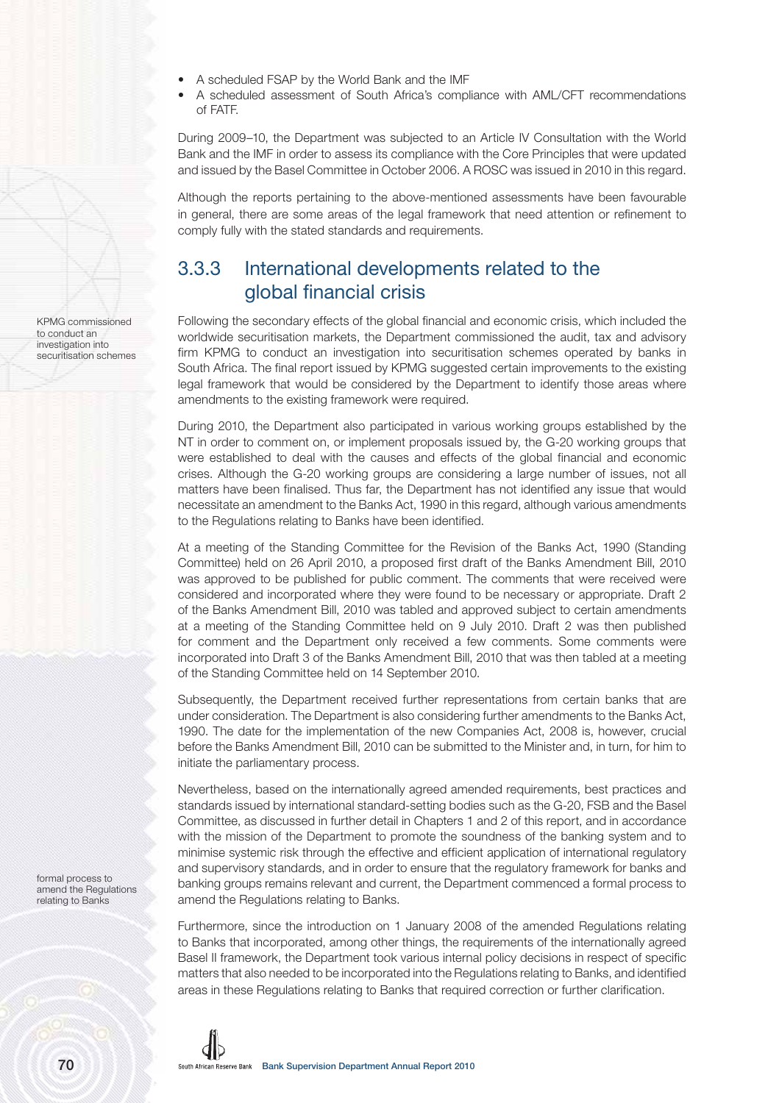- A scheduled FSAP by the World Bank and the IMF
- A scheduled assessment of South Africa's compliance with AML/CFT recommendations of FATF.

During 2009–10, the Department was subjected to an Article IV Consultation with the World Bank and the IMF in order to assess its compliance with the Core Principles that were updated and issued by the Basel Committee in October 2006. A ROSC was issued in 2010 in this regard.

Although the reports pertaining to the above-mentioned assessments have been favourable in general, there are some areas of the legal framework that need attention or refinement to comply fully with the stated standards and requirements.

# 3.3.3 International developments related to the global financial crisis

Following the secondary effects of the global financial and economic crisis, which included the worldwide securitisation markets, the Department commissioned the audit, tax and advisory firm KPMG to conduct an investigation into securitisation schemes operated by banks in South Africa. The final report issued by KPMG suggested certain improvements to the existing legal framework that would be considered by the Department to identify those areas where amendments to the existing framework were required.

During 2010, the Department also participated in various working groups established by the NT in order to comment on, or implement proposals issued by, the G-20 working groups that were established to deal with the causes and effects of the global financial and economic crises. Although the G-20 working groups are considering a large number of issues, not all matters have been finalised. Thus far, the Department has not identified any issue that would necessitate an amendment to the Banks Act, 1990 in this regard, although various amendments to the Regulations relating to Banks have been identified.

At a meeting of the Standing Committee for the Revision of the Banks Act, 1990 (Standing Committee) held on 26 April 2010, a proposed first draft of the Banks Amendment Bill, 2010 was approved to be published for public comment. The comments that were received were considered and incorporated where they were found to be necessary or appropriate. Draft 2 of the Banks Amendment Bill, 2010 was tabled and approved subject to certain amendments at a meeting of the Standing Committee held on 9 July 2010. Draft 2 was then published for comment and the Department only received a few comments. Some comments were incorporated into Draft 3 of the Banks Amendment Bill, 2010 that was then tabled at a meeting of the Standing Committee held on 14 September 2010.

Subsequently, the Department received further representations from certain banks that are under consideration. The Department is also considering further amendments to the Banks Act, 1990. The date for the implementation of the new Companies Act, 2008 is, however, crucial before the Banks Amendment Bill, 2010 can be submitted to the Minister and, in turn, for him to initiate the parliamentary process.

Nevertheless, based on the internationally agreed amended requirements, best practices and standards issued by international standard-setting bodies such as the G-20, FSB and the Basel Committee, as discussed in further detail in Chapters 1 and 2 of this report, and in accordance with the mission of the Department to promote the soundness of the banking system and to minimise systemic risk through the effective and efficient application of international regulatory and supervisory standards, and in order to ensure that the regulatory framework for banks and banking groups remains relevant and current, the Department commenced a formal process to amend the Regulations relating to Banks.

Furthermore, since the introduction on 1 January 2008 of the amended Regulations relating to Banks that incorporated, among other things, the requirements of the internationally agreed Basel II framework, the Department took various internal policy decisions in respect of specific matters that also needed to be incorporated into the Regulations relating to Banks, and identified areas in these Regulations relating to Banks that required correction or further clarification.

KPMG commissioned to conduct an investigation into securitisation schemes

formal process to amend the Regulations relating to Banks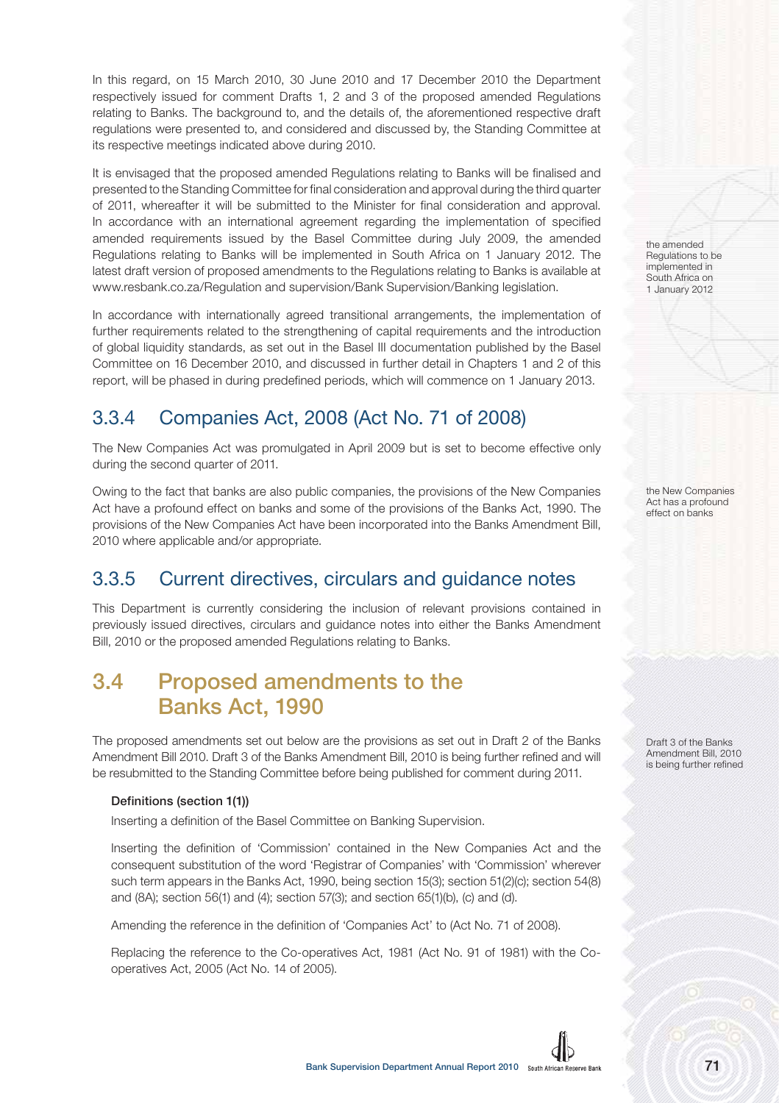In this regard, on 15 March 2010, 30 June 2010 and 17 December 2010 the Department respectively issued for comment Drafts 1, 2 and 3 of the proposed amended Regulations relating to Banks. The background to, and the details of, the aforementioned respective draft regulations were presented to, and considered and discussed by, the Standing Committee at its respective meetings indicated above during 2010.

It is envisaged that the proposed amended Regulations relating to Banks will be finalised and presented to the Standing Committee for final consideration and approval during the third quarter of 2011, whereafter it will be submitted to the Minister for final consideration and approval. In accordance with an international agreement regarding the implementation of specified amended requirements issued by the Basel Committee during July 2009, the amended Regulations relating to Banks will be implemented in South Africa on 1 January 2012. The latest draft version of proposed amendments to the Regulations relating to Banks is available at www.resbank.co.za/Regulation and supervision/Bank Supervision/Banking legislation.

In accordance with internationally agreed transitional arrangements, the implementation of further requirements related to the strengthening of capital requirements and the introduction of global liquidity standards, as set out in the Basel III documentation published by the Basel Committee on 16 December 2010, and discussed in further detail in Chapters 1 and 2 of this report, will be phased in during predefined periods, which will commence on 1 January 2013.

# 3.3.4 Companies Act, 2008 (Act No. 71 of 2008)

The New Companies Act was promulgated in April 2009 but is set to become effective only during the second quarter of 2011.

Owing to the fact that banks are also public companies, the provisions of the New Companies Act have a profound effect on banks and some of the provisions of the Banks Act, 1990. The provisions of the New Companies Act have been incorporated into the Banks Amendment Bill, 2010 where applicable and/or appropriate.

# 3.3.5 Current directives, circulars and guidance notes

This Department is currently considering the inclusion of relevant provisions contained in previously issued directives, circulars and guidance notes into either the Banks Amendment Bill, 2010 or the proposed amended Regulations relating to Banks.

# **3.4 Proposed amendments to the Banks Act, 1990**

The proposed amendments set out below are the provisions as set out in Draft 2 of the Banks Amendment Bill 2010. Draft 3 of the Banks Amendment Bill, 2010 is being further refined and will be resubmitted to the Standing Committee before being published for comment during 2011.

## Definitions (section 1(1))

Inserting a definition of the Basel Committee on Banking Supervision.

Inserting the definition of 'Commission' contained in the New Companies Act and the consequent substitution of the word 'Registrar of Companies' with 'Commission' wherever such term appears in the Banks Act, 1990, being section 15(3); section 51(2)(c); section 54(8) and (8A); section 56(1) and (4); section 57(3); and section 65(1)(b), (c) and (d).

Amending the reference in the definition of 'Companies Act' to (Act No. 71 of 2008).

Replacing the reference to the Co-operatives Act, 1981 (Act No. 91 of 1981) with the Cooperatives Act, 2005 (Act No. 14 of 2005).

the amended Regulations to be implemented in South Africa on 1 January 2012

the New Companies Act has a profound effect on banks

Draft 3 of the Banks Amendment Bill, 2010 is being further refined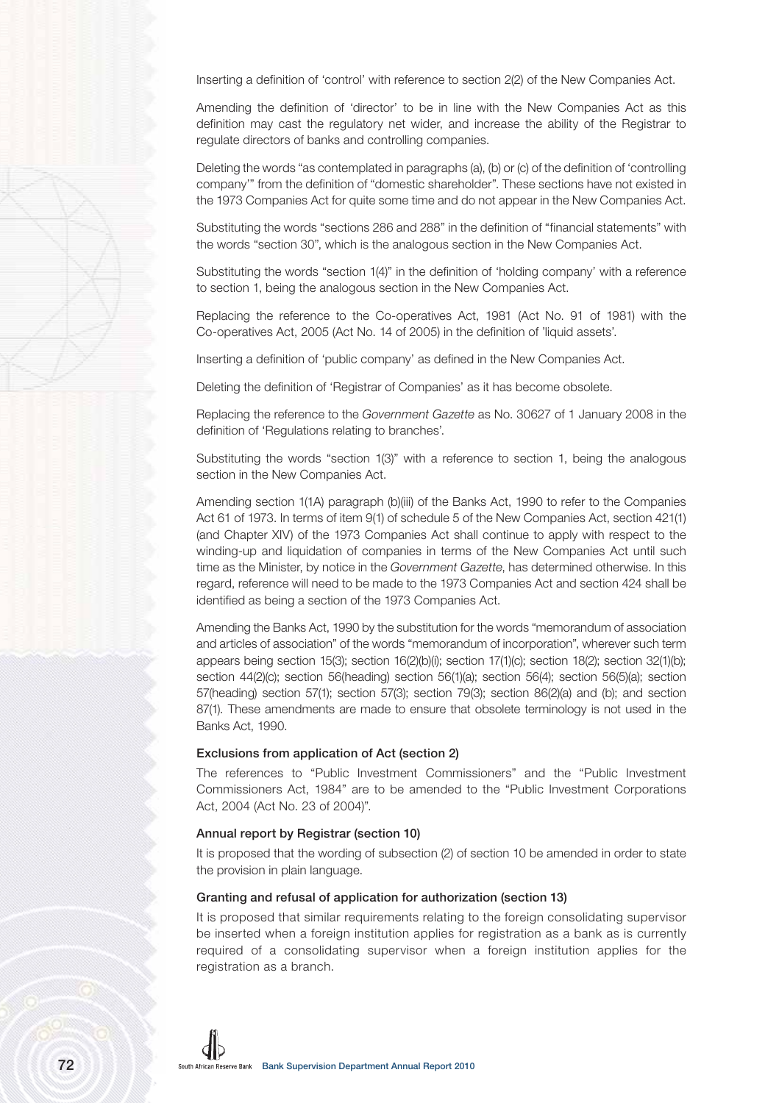Inserting a definition of 'control' with reference to section 2(2) of the New Companies Act.

Amending the definition of 'director' to be in line with the New Companies Act as this definition may cast the regulatory net wider, and increase the ability of the Registrar to regulate directors of banks and controlling companies.

Deleting the words "as contemplated in paragraphs (a), (b) or (c) of the definition of 'controlling company'" from the definition of "domestic shareholder". These sections have not existed in the 1973 Companies Act for quite some time and do not appear in the New Companies Act.

Substituting the words "sections 286 and 288" in the definition of "financial statements" with the words "section 30", which is the analogous section in the New Companies Act.

Substituting the words "section 1(4)" in the definition of 'holding company' with a reference to section 1, being the analogous section in the New Companies Act.

Replacing the reference to the Co-operatives Act, 1981 (Act No. 91 of 1981) with the Co-operatives Act, 2005 (Act No. 14 of 2005) in the definition of 'liquid assets'.

Inserting a definition of 'public company' as defined in the New Companies Act.

Deleting the definition of 'Registrar of Companies' as it has become obsolete.

Replacing the reference to the Government Gazette as No. 30627 of 1 January 2008 in the definition of 'Regulations relating to branches'.

Substituting the words "section 1(3)" with a reference to section 1, being the analogous section in the New Companies Act.

Amending section 1(1A) paragraph (b)(iii) of the Banks Act, 1990 to refer to the Companies Act 61 of 1973. In terms of item 9(1) of schedule 5 of the New Companies Act, section 421(1) (and Chapter XIV) of the 1973 Companies Act shall continue to apply with respect to the winding-up and liquidation of companies in terms of the New Companies Act until such time as the Minister, by notice in the Government Gazette, has determined otherwise. In this regard, reference will need to be made to the 1973 Companies Act and section 424 shall be identified as being a section of the 1973 Companies Act.

Amending the Banks Act, 1990 by the substitution for the words "memorandum of association and articles of association" of the words "memorandum of incorporation", wherever such term appears being section 15(3); section 16(2)(b)(i); section 17(1)(c); section 18(2); section 32(1)(b); section 44(2)(c); section 56(heading) section 56(1)(a); section 56(4); section 56(5)(a); section 57(heading) section 57(1); section 57(3); section 79(3); section 86(2)(a) and (b); and section 87(1). These amendments are made to ensure that obsolete terminology is not used in the Banks Act, 1990.

#### Exclusions from application of Act (section 2)

The references to "Public Investment Commissioners" and the "Public Investment Commissioners Act, 1984" are to be amended to the "Public Investment Corporations Act, 2004 (Act No. 23 of 2004)".

#### Annual report by Registrar (section 10)

It is proposed that the wording of subsection (2) of section 10 be amended in order to state the provision in plain language.

# Granting and refusal of application for authorization (section 13)

It is proposed that similar requirements relating to the foreign consolidating supervisor be inserted when a foreign institution applies for registration as a bank as is currently required of a consolidating supervisor when a foreign institution applies for the registration as a branch.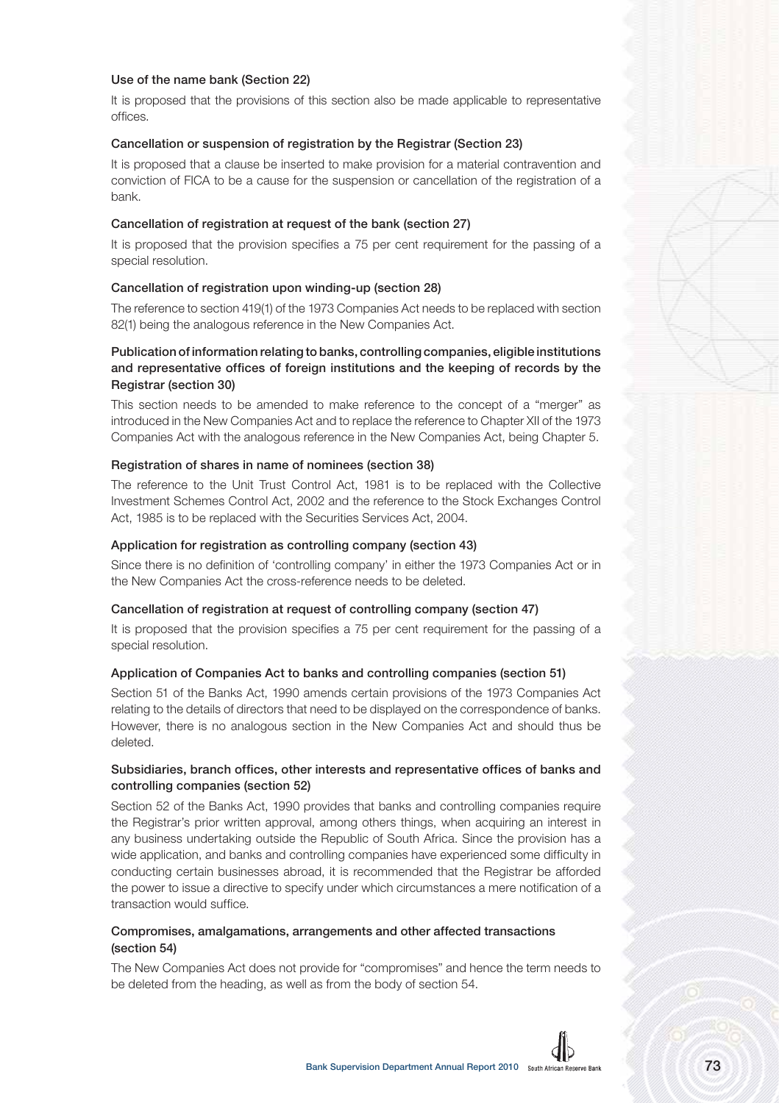### Use of the name bank (Section 22)

It is proposed that the provisions of this section also be made applicable to representative offices.

### Cancellation or suspension of registration by the Registrar (Section 23)

It is proposed that a clause be inserted to make provision for a material contravention and conviction of FICA to be a cause for the suspension or cancellation of the registration of a bank.

### Cancellation of registration at request of the bank (section 27)

It is proposed that the provision specifies a 75 per cent requirement for the passing of a special resolution.

### Cancellation of registration upon winding-up (section 28)

The reference to section 419(1) of the 1973 Companies Act needs to be replaced with section 82(1) being the analogous reference in the New Companies Act.

# Publication of information relating to banks, controlling companies, eligible institutions and representative offices of foreign institutions and the keeping of records by the Registrar (section 30)

This section needs to be amended to make reference to the concept of a "merger" as introduced in the New Companies Act and to replace the reference to Chapter XII of the 1973 Companies Act with the analogous reference in the New Companies Act, being Chapter 5.

### Registration of shares in name of nominees (section 38)

The reference to the Unit Trust Control Act, 1981 is to be replaced with the Collective Investment Schemes Control Act, 2002 and the reference to the Stock Exchanges Control Act, 1985 is to be replaced with the Securities Services Act, 2004.

### Application for registration as controlling company (section 43)

Since there is no definition of 'controlling company' in either the 1973 Companies Act or in the New Companies Act the cross-reference needs to be deleted.

#### Cancellation of registration at request of controlling company (section 47)

It is proposed that the provision specifies a 75 per cent requirement for the passing of a special resolution.

#### Application of Companies Act to banks and controlling companies (section 51)

Section 51 of the Banks Act, 1990 amends certain provisions of the 1973 Companies Act relating to the details of directors that need to be displayed on the correspondence of banks. However, there is no analogous section in the New Companies Act and should thus be deleted.

## Subsidiaries, branch offices, other interests and representative offices of banks and controlling companies (section 52)

Section 52 of the Banks Act, 1990 provides that banks and controlling companies require the Registrar's prior written approval, among others things, when acquiring an interest in any business undertaking outside the Republic of South Africa. Since the provision has a wide application, and banks and controlling companies have experienced some difficulty in conducting certain businesses abroad, it is recommended that the Registrar be afforded the power to issue a directive to specify under which circumstances a mere notification of a transaction would suffice.

## Compromises, amalgamations, arrangements and other affected transactions (section 54)

The New Companies Act does not provide for "compromises" and hence the term needs to be deleted from the heading, as well as from the body of section 54.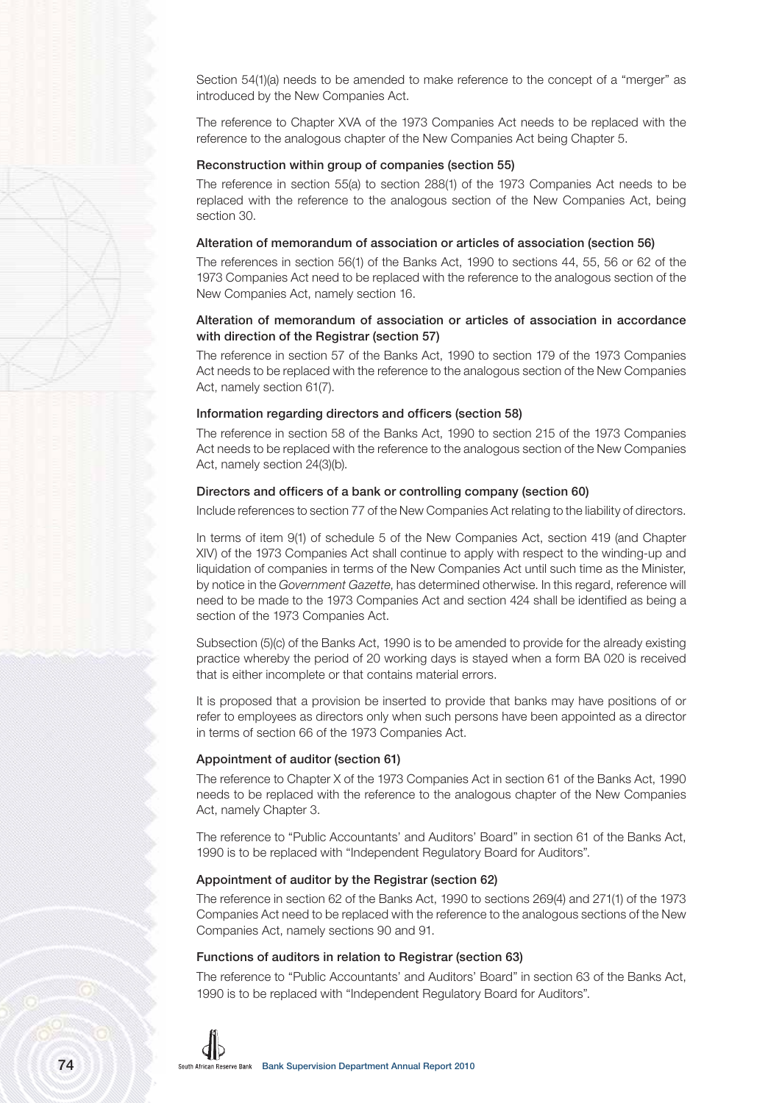Section 54(1)(a) needs to be amended to make reference to the concept of a "merger" as introduced by the New Companies Act.

The reference to Chapter XVA of the 1973 Companies Act needs to be replaced with the reference to the analogous chapter of the New Companies Act being Chapter 5.

# Reconstruction within group of companies (section 55)

The reference in section 55(a) to section 288(1) of the 1973 Companies Act needs to be replaced with the reference to the analogous section of the New Companies Act, being section 30.

#### Alteration of memorandum of association or articles of association (section 56)

The references in section 56(1) of the Banks Act, 1990 to sections 44, 55, 56 or 62 of the 1973 Companies Act need to be replaced with the reference to the analogous section of the New Companies Act, namely section 16.

### Alteration of memorandum of association or articles of association in accordance with direction of the Registrar (section 57)

The reference in section 57 of the Banks Act, 1990 to section 179 of the 1973 Companies Act needs to be replaced with the reference to the analogous section of the New Companies Act, namely section 61(7).

#### Information regarding directors and officers (section 58)

The reference in section 58 of the Banks Act, 1990 to section 215 of the 1973 Companies Act needs to be replaced with the reference to the analogous section of the New Companies Act, namely section 24(3)(b).

#### Directors and officers of a bank or controlling company (section 60)

Include references to section 77 of the New Companies Act relating to the liability of directors.

In terms of item 9(1) of schedule 5 of the New Companies Act, section 419 (and Chapter XIV) of the 1973 Companies Act shall continue to apply with respect to the winding-up and liquidation of companies in terms of the New Companies Act until such time as the Minister, by notice in the Government Gazette, has determined otherwise. In this regard, reference will need to be made to the 1973 Companies Act and section 424 shall be identified as being a section of the 1973 Companies Act.

Subsection (5)(c) of the Banks Act, 1990 is to be amended to provide for the already existing practice whereby the period of 20 working days is stayed when a form BA 020 is received that is either incomplete or that contains material errors.

It is proposed that a provision be inserted to provide that banks may have positions of or refer to employees as directors only when such persons have been appointed as a director in terms of section 66 of the 1973 Companies Act.

#### Appointment of auditor (section 61)

The reference to Chapter X of the 1973 Companies Act in section 61 of the Banks Act, 1990 needs to be replaced with the reference to the analogous chapter of the New Companies Act, namely Chapter 3.

The reference to "Public Accountants' and Auditors' Board" in section 61 of the Banks Act, 1990 is to be replaced with "Independent Regulatory Board for Auditors".

#### Appointment of auditor by the Registrar (section 62)

The reference in section 62 of the Banks Act, 1990 to sections 269(4) and 271(1) of the 1973 Companies Act need to be replaced with the reference to the analogous sections of the New Companies Act, namely sections 90 and 91.

### Functions of auditors in relation to Registrar (section 63)

The reference to "Public Accountants' and Auditors' Board" in section 63 of the Banks Act, 1990 is to be replaced with "Independent Regulatory Board for Auditors".

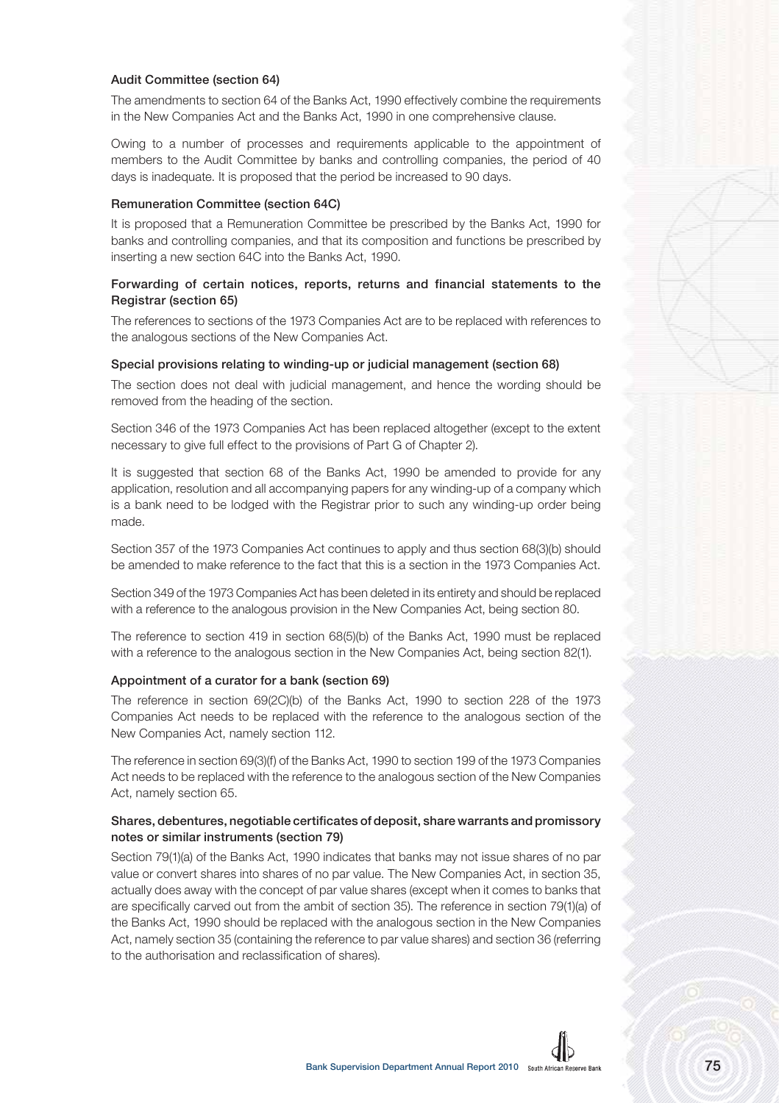### Audit Committee (section 64)

The amendments to section 64 of the Banks Act, 1990 effectively combine the requirements in the New Companies Act and the Banks Act, 1990 in one comprehensive clause.

Owing to a number of processes and requirements applicable to the appointment of members to the Audit Committee by banks and controlling companies, the period of 40 days is inadequate. It is proposed that the period be increased to 90 days.

#### Remuneration Committee (section 64C)

It is proposed that a Remuneration Committee be prescribed by the Banks Act, 1990 for banks and controlling companies, and that its composition and functions be prescribed by inserting a new section 64C into the Banks Act, 1990.

# Forwarding of certain notices, reports, returns and financial statements to the Registrar (section 65)

The references to sections of the 1973 Companies Act are to be replaced with references to the analogous sections of the New Companies Act.

#### Special provisions relating to winding-up or judicial management (section 68)

The section does not deal with judicial management, and hence the wording should be removed from the heading of the section.

Section 346 of the 1973 Companies Act has been replaced altogether (except to the extent necessary to give full effect to the provisions of Part G of Chapter 2).

It is suggested that section 68 of the Banks Act, 1990 be amended to provide for any application, resolution and all accompanying papers for any winding-up of a company which is a bank need to be lodged with the Registrar prior to such any winding-up order being made.

Section 357 of the 1973 Companies Act continues to apply and thus section 68(3)(b) should be amended to make reference to the fact that this is a section in the 1973 Companies Act.

Section 349 of the 1973 Companies Act has been deleted in its entirety and should be replaced with a reference to the analogous provision in the New Companies Act, being section 80.

The reference to section 419 in section 68(5)(b) of the Banks Act, 1990 must be replaced with a reference to the analogous section in the New Companies Act, being section 82(1).

#### Appointment of a curator for a bank (section 69)

The reference in section 69(2C)(b) of the Banks Act, 1990 to section 228 of the 1973 Companies Act needs to be replaced with the reference to the analogous section of the New Companies Act, namely section 112.

The reference in section 69(3)(f) of the Banks Act, 1990 to section 199 of the 1973 Companies Act needs to be replaced with the reference to the analogous section of the New Companies Act, namely section 65.

# Shares, debentures, negotiable certificates of deposit, share warrants and promissory notes or similar instruments (section 79)

Section 79(1)(a) of the Banks Act, 1990 indicates that banks may not issue shares of no par value or convert shares into shares of no par value. The New Companies Act, in section 35, actually does away with the concept of par value shares (except when it comes to banks that are specifically carved out from the ambit of section 35). The reference in section 79(1)(a) of the Banks Act, 1990 should be replaced with the analogous section in the New Companies Act, namely section 35 (containing the reference to par value shares) and section 36 (referring to the authorisation and reclassification of shares).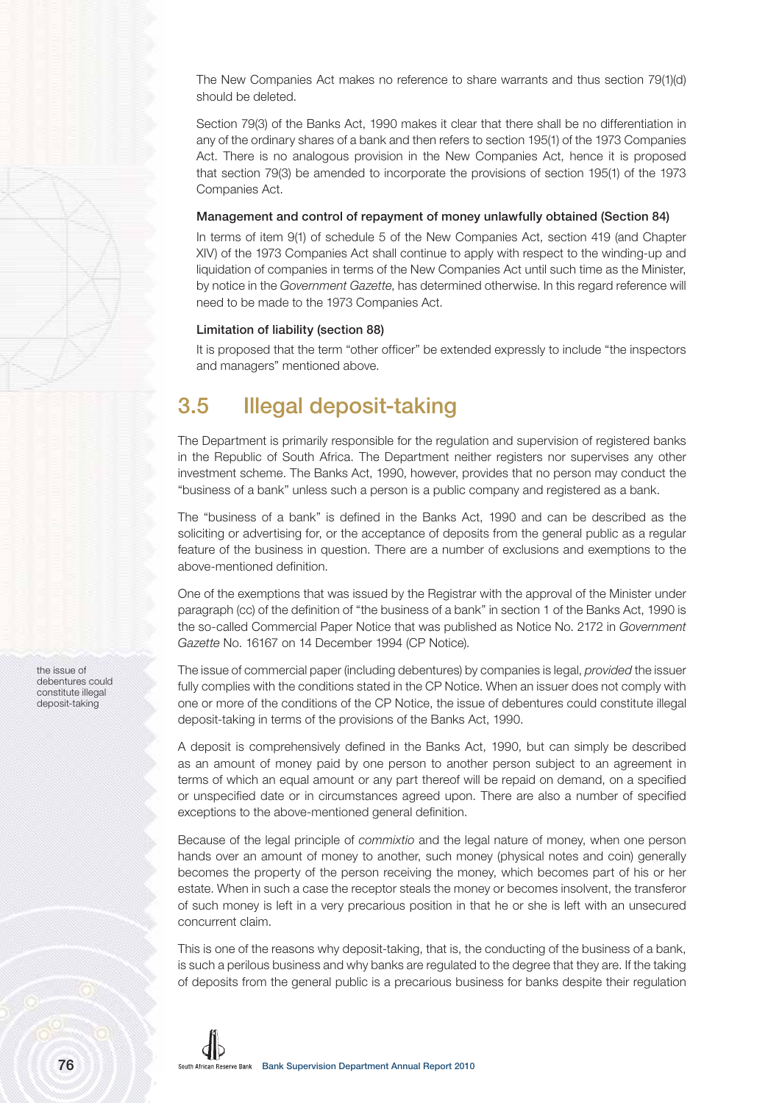The New Companies Act makes no reference to share warrants and thus section 79(1)(d) should be deleted.

Section 79(3) of the Banks Act, 1990 makes it clear that there shall be no differentiation in any of the ordinary shares of a bank and then refers to section 195(1) of the 1973 Companies Act. There is no analogous provision in the New Companies Act, hence it is proposed that section 79(3) be amended to incorporate the provisions of section 195(1) of the 1973 Companies Act.

# Management and control of repayment of money unlawfully obtained (Section 84)

In terms of item 9(1) of schedule 5 of the New Companies Act, section 419 (and Chapter XIV) of the 1973 Companies Act shall continue to apply with respect to the winding-up and liquidation of companies in terms of the New Companies Act until such time as the Minister, by notice in the Government Gazette, has determined otherwise. In this regard reference will need to be made to the 1973 Companies Act.

# Limitation of liability (section 88)

It is proposed that the term "other officer" be extended expressly to include "the inspectors and managers" mentioned above.

# **3.5 Illegal deposit-taking**

The Department is primarily responsible for the regulation and supervision of registered banks in the Republic of South Africa. The Department neither registers nor supervises any other investment scheme. The Banks Act, 1990, however, provides that no person may conduct the "business of a bank" unless such a person is a public company and registered as a bank.

The "business of a bank" is defined in the Banks Act, 1990 and can be described as the soliciting or advertising for, or the acceptance of deposits from the general public as a regular feature of the business in question. There are a number of exclusions and exemptions to the above-mentioned definition.

One of the exemptions that was issued by the Registrar with the approval of the Minister under paragraph (cc) of the definition of "the business of a bank" in section 1 of the Banks Act, 1990 is the so-called Commercial Paper Notice that was published as Notice No. 2172 in Government Gazette No. 16167 on 14 December 1994 (CP Notice).

The issue of commercial paper (including debentures) by companies is legal, *provided* the issuer fully complies with the conditions stated in the CP Notice. When an issuer does not comply with one or more of the conditions of the CP Notice, the issue of debentures could constitute illegal deposit-taking in terms of the provisions of the Banks Act, 1990.

A deposit is comprehensively defined in the Banks Act, 1990, but can simply be described as an amount of money paid by one person to another person subject to an agreement in terms of which an equal amount or any part thereof will be repaid on demand, on a specified or unspecified date or in circumstances agreed upon. There are also a number of specified exceptions to the above-mentioned general definition.

Because of the legal principle of commixtio and the legal nature of money, when one person hands over an amount of money to another, such money (physical notes and coin) generally becomes the property of the person receiving the money, which becomes part of his or her estate. When in such a case the receptor steals the money or becomes insolvent, the transferor of such money is left in a very precarious position in that he or she is left with an unsecured concurrent claim.

This is one of the reasons why deposit-taking, that is, the conducting of the business of a bank, is such a perilous business and why banks are regulated to the degree that they are. If the taking of deposits from the general public is a precarious business for banks despite their regulation

the issue of debentures could constitute illegal deposit-taking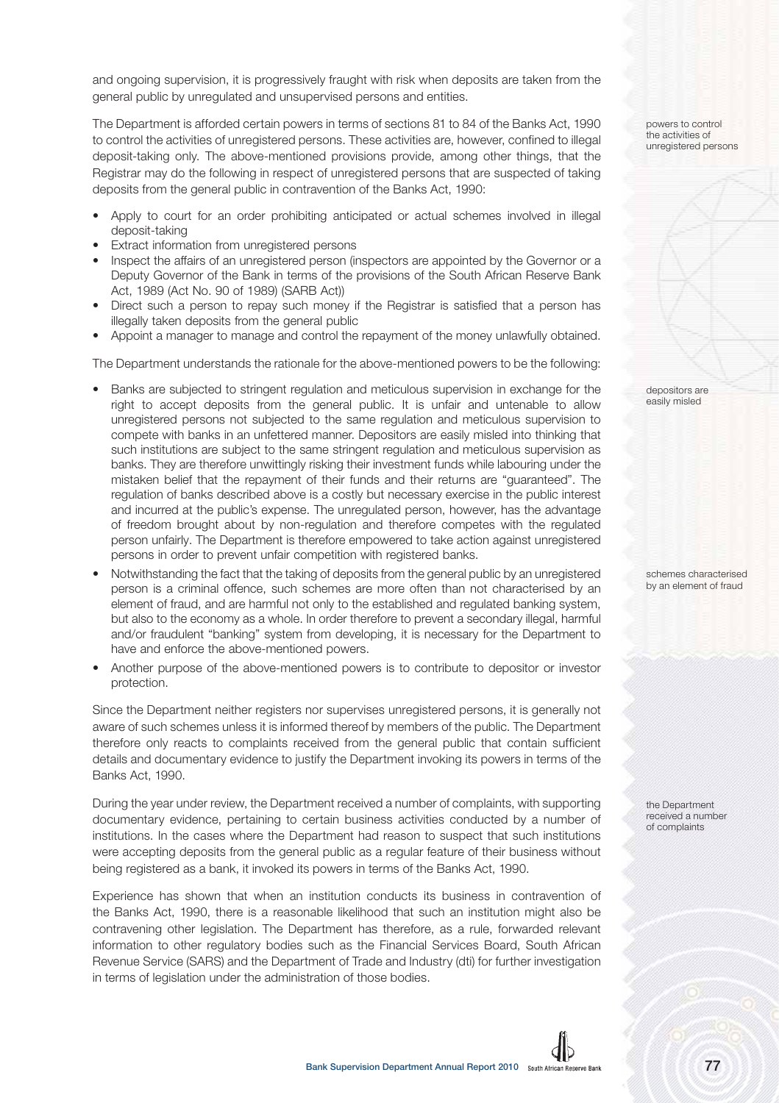and ongoing supervision, it is progressively fraught with risk when deposits are taken from the general public by unregulated and unsupervised persons and entities.

The Department is afforded certain powers in terms of sections 81 to 84 of the Banks Act, 1990 to control the activities of unregistered persons. These activities are, however, confined to illegal deposit-taking only. The above-mentioned provisions provide, among other things, that the Registrar may do the following in respect of unregistered persons that are suspected of taking deposits from the general public in contravention of the Banks Act, 1990:

- Apply to court for an order prohibiting anticipated or actual schemes involved in illegal deposit-taking
- Extract information from unregistered persons
- Inspect the affairs of an unregistered person (inspectors are appointed by the Governor or a Deputy Governor of the Bank in terms of the provisions of the South African Reserve Bank Act, 1989 (Act No. 90 of 1989) (SARB Act))
- Direct such a person to repay such money if the Registrar is satisfied that a person has illegally taken deposits from the general public
- Appoint a manager to manage and control the repayment of the money unlawfully obtained.

The Department understands the rationale for the above-mentioned powers to be the following:

- Banks are subjected to stringent regulation and meticulous supervision in exchange for the right to accept deposits from the general public. It is unfair and untenable to allow unregistered persons not subjected to the same regulation and meticulous supervision to compete with banks in an unfettered manner. Depositors are easily misled into thinking that such institutions are subject to the same stringent regulation and meticulous supervision as banks. They are therefore unwittingly risking their investment funds while labouring under the mistaken belief that the repayment of their funds and their returns are "guaranteed". The regulation of banks described above is a costly but necessary exercise in the public interest and incurred at the public's expense. The unregulated person, however, has the advantage of freedom brought about by non-regulation and therefore competes with the regulated person unfairly. The Department is therefore empowered to take action against unregistered persons in order to prevent unfair competition with registered banks.
- Notwithstanding the fact that the taking of deposits from the general public by an unregistered person is a criminal offence, such schemes are more often than not characterised by an element of fraud, and are harmful not only to the established and regulated banking system, but also to the economy as a whole. In order therefore to prevent a secondary illegal, harmful and/or fraudulent "banking" system from developing, it is necessary for the Department to have and enforce the above-mentioned powers.
- Another purpose of the above-mentioned powers is to contribute to depositor or investor protection.

Since the Department neither registers nor supervises unregistered persons, it is generally not aware of such schemes unless it is informed thereof by members of the public. The Department therefore only reacts to complaints received from the general public that contain sufficient details and documentary evidence to justify the Department invoking its powers in terms of the Banks Act, 1990.

During the year under review, the Department received a number of complaints, with supporting documentary evidence, pertaining to certain business activities conducted by a number of institutions. In the cases where the Department had reason to suspect that such institutions were accepting deposits from the general public as a regular feature of their business without being registered as a bank, it invoked its powers in terms of the Banks Act, 1990.

Experience has shown that when an institution conducts its business in contravention of the Banks Act, 1990, there is a reasonable likelihood that such an institution might also be contravening other legislation. The Department has therefore, as a rule, forwarded relevant information to other regulatory bodies such as the Financial Services Board, South African Revenue Service (SARS) and the Department of Trade and Industry (dti) for further investigation in terms of legislation under the administration of those bodies.

powers to control the activities of unregistered persons

depositors are easily misled

schemes characterised by an element of fraud

the Department received a number of complaints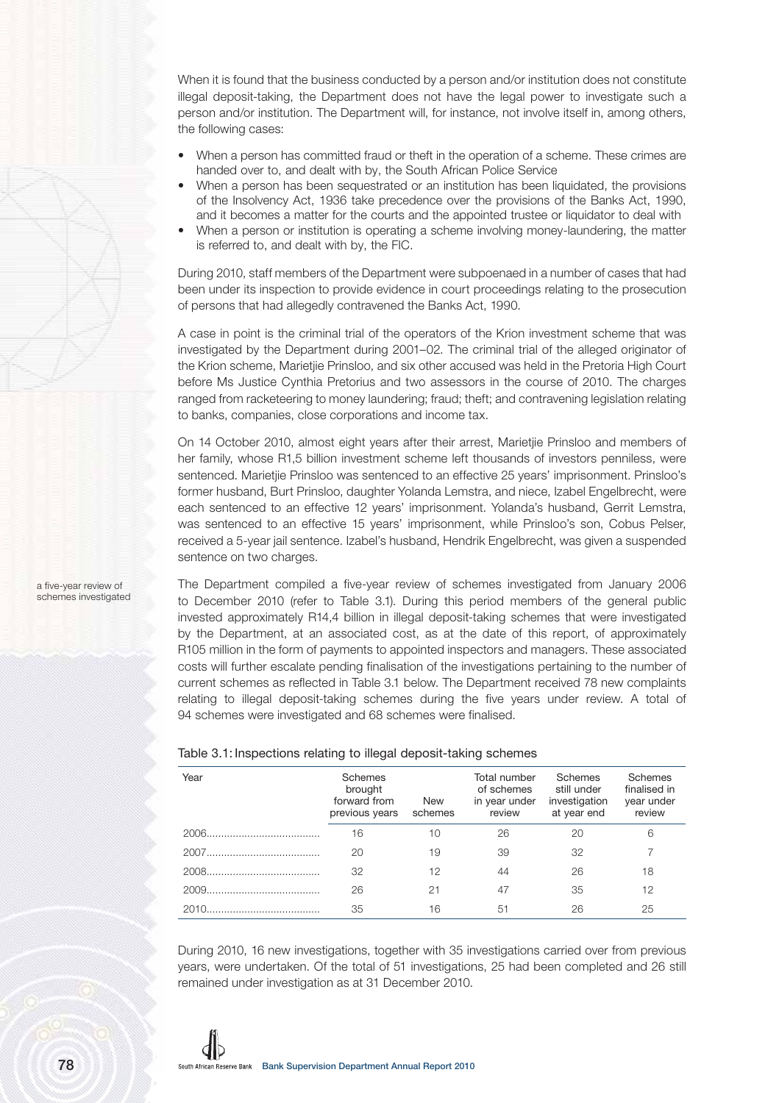When it is found that the business conducted by a person and/or institution does not constitute illegal deposit-taking, the Department does not have the legal power to investigate such a person and/or institution. The Department will, for instance, not involve itself in, among others, the following cases:

- When a person has committed fraud or theft in the operation of a scheme. These crimes are handed over to, and dealt with by, the South African Police Service
- When a person has been sequestrated or an institution has been liquidated, the provisions of the Insolvency Act, 1936 take precedence over the provisions of the Banks Act, 1990, and it becomes a matter for the courts and the appointed trustee or liquidator to deal with
- When a person or institution is operating a scheme involving money-laundering, the matter is referred to, and dealt with by, the FIC.

During 2010, staff members of the Department were subpoenaed in a number of cases that had been under its inspection to provide evidence in court proceedings relating to the prosecution of persons that had allegedly contravened the Banks Act, 1990.

A case in point is the criminal trial of the operators of the Krion investment scheme that was investigated by the Department during 2001–02. The criminal trial of the alleged originator of the Krion scheme, Marietjie Prinsloo, and six other accused was held in the Pretoria High Court before Ms Justice Cynthia Pretorius and two assessors in the course of 2010. The charges ranged from racketeering to money laundering; fraud; theft; and contravening legislation relating to banks, companies, close corporations and income tax.

On 14 October 2010, almost eight years after their arrest, Marietjie Prinsloo and members of her family, whose R1,5 billion investment scheme left thousands of investors penniless, were sentenced. Marietjie Prinsloo was sentenced to an effective 25 years' imprisonment. Prinsloo's former husband, Burt Prinsloo, daughter Yolanda Lemstra, and niece, Izabel Engelbrecht, were each sentenced to an effective 12 years' imprisonment. Yolanda's husband, Gerrit Lemstra, was sentenced to an effective 15 years' imprisonment, while Prinsloo's son, Cobus Pelser, received a 5-year jail sentence. Izabel's husband, Hendrik Engelbrecht, was given a suspended sentence on two charges.

The Department compiled a five-year review of schemes investigated from January 2006 to December 2010 (refer to Table 3.1). During this period members of the general public invested approximately R14,4 billion in illegal deposit-taking schemes that were investigated by the Department, at an associated cost, as at the date of this report, of approximately R105 million in the form of payments to appointed inspectors and managers. These associated costs will further escalate pending finalisation of the investigations pertaining to the number of current schemes as reflected in Table 3.1 below. The Department received 78 new complaints relating to illegal deposit-taking schemes during the five years under review. A total of 94 schemes were investigated and 68 schemes were finalised.

## Table 3.1: Inspections relating to illegal deposit-taking schemes

| Year  | <b>Schemes</b><br>brought<br>forward from<br>previous years | <b>New</b><br>schemes | Total number<br>of schemes<br>in year under<br>review | Schemes<br>still under<br>investigation<br>at year end | Schemes<br>finalised in<br>year under<br>review |
|-------|-------------------------------------------------------------|-----------------------|-------------------------------------------------------|--------------------------------------------------------|-------------------------------------------------|
|       | 16                                                          | 10                    | 26                                                    | 20                                                     | 6                                               |
|       | 20                                                          | 19                    | 39                                                    | 32                                                     |                                                 |
|       | 32                                                          | 12                    | 44                                                    | 26                                                     | 18                                              |
|       | 26                                                          | 21                    | 47                                                    | 35                                                     | 12                                              |
| 2010. | 35                                                          | 16                    | 51                                                    | 26                                                     | 25                                              |

During 2010, 16 new investigations, together with 35 investigations carried over from previous years, were undertaken. Of the total of 51 investigations, 25 had been completed and 26 still remained under investigation as at 31 December 2010.

a five-year review of schemes investigated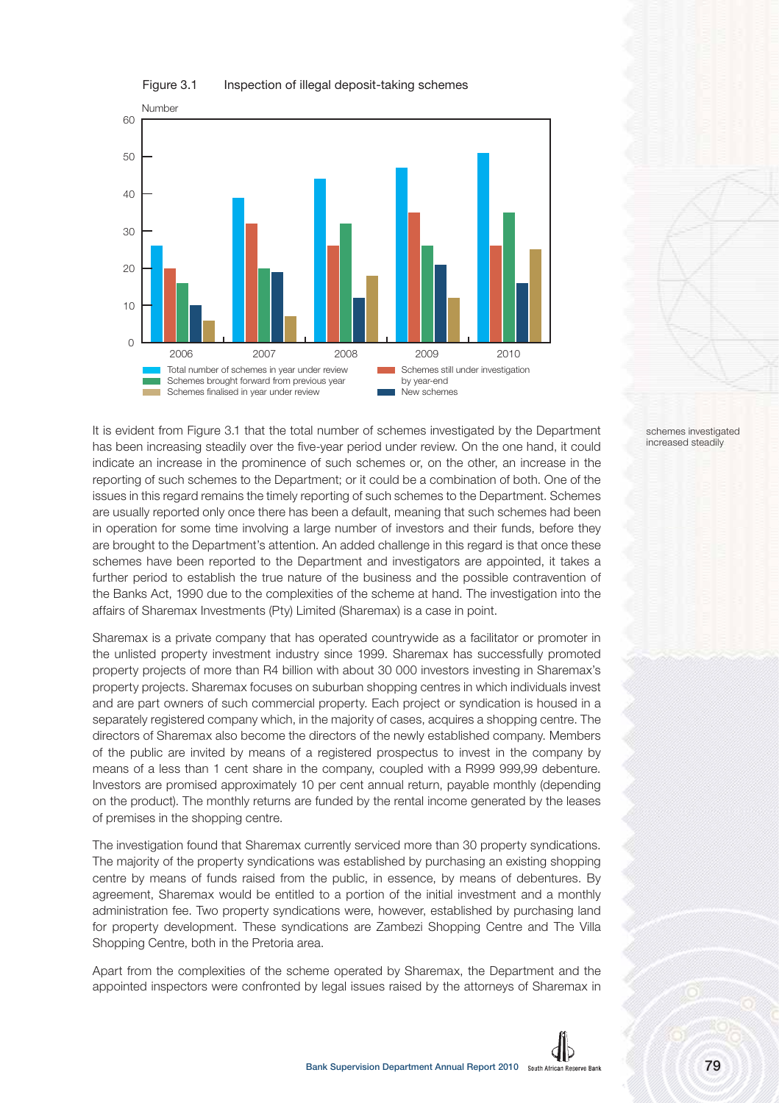



It is evident from Figure 3.1 that the total number of schemes investigated by the Department has been increasing steadily over the five-year period under review. On the one hand, it could indicate an increase in the prominence of such schemes or, on the other, an increase in the reporting of such schemes to the Department; or it could be a combination of both. One of the issues in this regard remains the timely reporting of such schemes to the Department. Schemes are usually reported only once there has been a default, meaning that such schemes had been in operation for some time involving a large number of investors and their funds, before they are brought to the Department's attention. An added challenge in this regard is that once these schemes have been reported to the Department and investigators are appointed, it takes a further period to establish the true nature of the business and the possible contravention of the Banks Act, 1990 due to the complexities of the scheme at hand. The investigation into the affairs of Sharemax Investments (Pty) Limited (Sharemax) is a case in point.

Sharemax is a private company that has operated countrywide as a facilitator or promoter in the unlisted property investment industry since 1999. Sharemax has successfully promoted property projects of more than R4 billion with about 30 000 investors investing in Sharemax's property projects. Sharemax focuses on suburban shopping centres in which individuals invest and are part owners of such commercial property. Each project or syndication is housed in a separately registered company which, in the majority of cases, acquires a shopping centre. The directors of Sharemax also become the directors of the newly established company. Members of the public are invited by means of a registered prospectus to invest in the company by means of a less than 1 cent share in the company, coupled with a R999 999,99 debenture. Investors are promised approximately 10 per cent annual return, payable monthly (depending on the product). The monthly returns are funded by the rental income generated by the leases of premises in the shopping centre.

The investigation found that Sharemax currently serviced more than 30 property syndications. The majority of the property syndications was established by purchasing an existing shopping centre by means of funds raised from the public, in essence, by means of debentures. By agreement, Sharemax would be entitled to a portion of the initial investment and a monthly administration fee. Two property syndications were, however, established by purchasing land for property development. These syndications are Zambezi Shopping Centre and The Villa Shopping Centre, both in the Pretoria area.

Apart from the complexities of the scheme operated by Sharemax, the Department and the appointed inspectors were confronted by legal issues raised by the attorneys of Sharemax in

schemes investigated increased steadily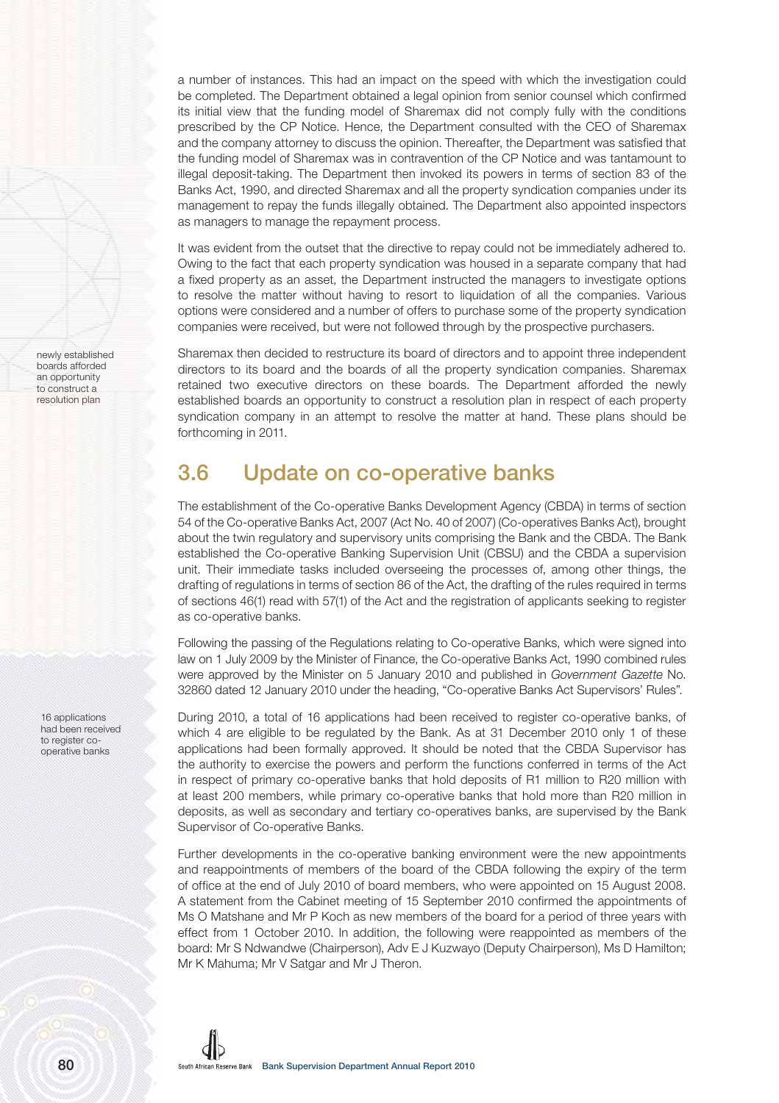a number of instances. This had an impact on the speed with which the investigation could be completed. The Department obtained a legal opinion from senior counsel which confirmed its initial view that the funding model of Sharemax did not comply fully with the conditions prescribed by the CP Notice. Hence, the Department consulted with the CEO of Sharemax and the company attorney to discuss the opinion. Thereafter, the Department was satisfied that the funding model of Sharemax was in contravention of the CP Notice and was tantamount to illegal deposit-taking. The Department then invoked its powers in terms of section 83 of the Banks Act, 1990, and directed Sharemax and all the property syndication companies under its management to repay the funds illegally obtained. The Department also appointed inspectors as managers to manage the repayment process.

It was evident from the outset that the directive to repay could not be immediately adhered to. Owing to the fact that each property syndication was housed in a separate company that had a fixed property as an asset, the Department instructed the managers to investigate options to resolve the matter without having to resort to liquidation of all the companies. Various options were considered and a number of offers to purchase some of the property syndication companies were received, but were not followed through by the prospective purchasers.

Sharemax then decided to restructure its board of directors and to appoint three independent directors to its board and the boards of all the property syndication companies. Sharemax retained two executive directors on these boards. The Department afforded the newly established boards an opportunity to construct a resolution plan in respect of each property syndication company in an attempt to resolve the matter at hand. These plans should be forthcoming in 2011.

# **3.6 Update on co-operative banks**

The establishment of the Co-operative Banks Development Agency (CBDA) in terms of section 54 of the Co-operative Banks Act, 2007 (Act No. 40 of 2007) (Co-operatives Banks Act), brought about the twin regulatory and supervisory units comprising the Bank and the CBDA. The Bank established the Co-operative Banking Supervision Unit (CBSU) and the CBDA a supervision unit. Their immediate tasks included overseeing the processes of, among other things, the drafting of regulations in terms of section 86 of the Act, the drafting of the rules required in terms of sections 46(1) read with 57(1) of the Act and the registration of applicants seeking to register as co-operative banks.

Following the passing of the Regulations relating to Co-operative Banks, which were signed into law on 1 July 2009 by the Minister of Finance, the Co-operative Banks Act, 1990 combined rules were approved by the Minister on 5 January 2010 and published in Government Gazette No. 32860 dated 12 January 2010 under the heading, "Co-operative Banks Act Supervisors' Rules".

During 2010, a total of 16 applications had been received to register co-operative banks, of which 4 are eligible to be regulated by the Bank. As at 31 December 2010 only 1 of these applications had been formally approved. It should be noted that the CBDA Supervisor has the authority to exercise the powers and perform the functions conferred in terms of the Act in respect of primary co-operative banks that hold deposits of R1 million to R20 million with at least 200 members, while primary co-operative banks that hold more than R20 million in deposits, as well as secondary and tertiary co-operatives banks, are supervised by the Bank Supervisor of Co-operative Banks.

Further developments in the co-operative banking environment were the new appointments and reappointments of members of the board of the CBDA following the expiry of the term of office at the end of July 2010 of board members, who were appointed on 15 August 2008. A statement from the Cabinet meeting of 15 September 2010 confirmed the appointments of Ms O Matshane and Mr P Koch as new members of the board for a period of three years with effect from 1 October 2010. In addition, the following were reappointed as members of the board: Mr S Ndwandwe (Chairperson), Adv E J Kuzwayo (Deputy Chairperson), Ms D Hamilton; Mr K Mahuma; Mr V Satgar and Mr J Theron.

16 applications had been received to register cooperative banks

newly established boards afforded an opportunity to construct a resolution plan